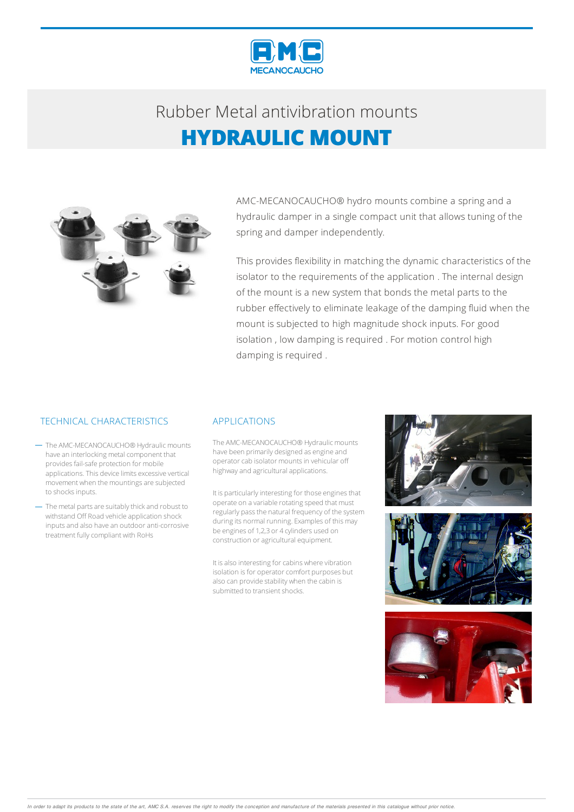



AMC-MECANOCAUCHO® hydro mounts combine a spring and a hydraulic damper in a single compact unit that allows tuning of the spring and damper independently.

This provides flexibility in matching the dynamic characteristics of the isolator to the requirements of the application . The internal design of the mount is a new system that bonds the metal parts to the rubber effectively to eliminate leakage of the damping fluid when the mount is subjected to high magnitude shock inputs. For good isolation , low damping is required . For motion control high damping is required .

### TECHNICAL CHARACTERISTICS APPLICATIONS

- The AMC-MECANOCAUCHO® Hydraulic mounts have an interlocking metal component that provides fail-safe protection for mobile applications.This device limits excessive vertical movement when the mountings are subjected to shocks inputs.
- The metal parts are suitably thick and robust to withstand Off Road vehicle application shock inputsand also have an outdooranti-corrosive treatment fully compliant with RoHs

The AMC-MECANOCAUCHO® Hydraulic mounts have been primarily designed as engine and operator cab isolator mounts in vehicular off highway and agricultural applications.

It is particularly interesting for those engines that operate on a variable rotating speed that must regularly passthe natural frequency of the system during its normal running. Examples of this may be engines of 1,2,3 or 4 cylinders used on construction or agricultural equipment.

It is also interesting for cabins where vibration isolation is for operator comfort purposes but also can provide stability when the cabin is submitted to transient shocks.



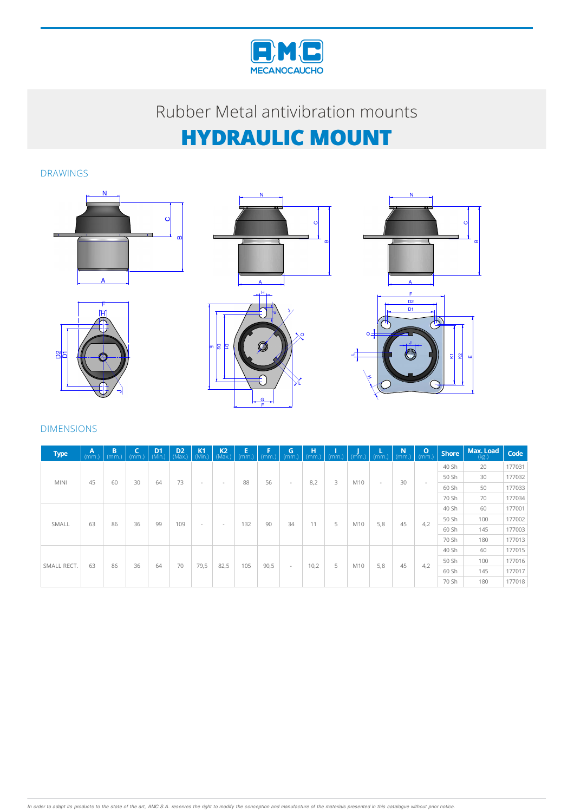

### DRAWINGS









#### DIMENSIONS

| <b>Type</b> | $\mathbf{A}$<br>(mm.) | B<br>(mm.) | $\overline{\phantom{a}}$<br>(mm) | D <sub>1</sub><br>(Min.) | D <sub>2</sub><br>(Max.) | $K1$<br>(Min.) | $K2$ <sub>(Max.)</sub> | E<br>(mm.) | F<br>(mm) | G<br>(mm.) | н<br>(mm.) | (mm) | (mm) | (mm)   | N<br>(mm.) | $\mathbf{o}$<br>(mm.)    | <b>Shore</b> | Max. Load<br>(kg.) | Code   |
|-------------|-----------------------|------------|----------------------------------|--------------------------|--------------------------|----------------|------------------------|------------|-----------|------------|------------|------|------|--------|------------|--------------------------|--------------|--------------------|--------|
| <b>MINI</b> |                       |            |                                  |                          |                          |                |                        |            |           | $\sim$     | 8,2        | 3    | M10  | $\sim$ | 30         | $\overline{\phantom{a}}$ | 40 Sh        | 20                 | 177031 |
|             | 45                    | 60         | 30                               | 64                       | 73                       |                | $\sim$                 | 88         | 56        |            |            |      |      |        |            |                          | 50 Sh        | 30                 | 177032 |
|             |                       |            |                                  |                          |                          |                |                        |            |           |            |            |      |      |        |            |                          | 60 Sh        | 50                 | 177033 |
|             |                       |            |                                  |                          |                          |                |                        |            |           |            |            |      |      |        |            |                          | 70 Sh        | 70                 | 177034 |
| SMALL       |                       |            | 36                               | 99                       | 109                      | $\sim$         | $\sim$                 | 132        | 90        | 34         | 11         | 5    | M10  | 5,8    | 45         |                          | 40 Sh        | 60                 | 177001 |
|             | 63                    | 86         |                                  |                          |                          |                |                        |            |           |            |            |      |      |        |            | 4,2                      | 50 Sh        | 100                | 177002 |
|             |                       |            |                                  |                          |                          |                |                        |            |           |            |            |      |      |        |            |                          | 60 Sh        | 145                | 177003 |
|             |                       |            |                                  |                          |                          |                |                        |            |           |            |            |      |      |        |            |                          | 70 Sh        | 180                | 177013 |
|             |                       |            |                                  | 64                       |                          |                | 82,5                   | 105        | 90,5      | $\sim$     |            |      | M10  | 5,8    | 45         |                          | 40 Sh        | 60                 | 177015 |
| SMALL RECT. | 63                    | 86         | 36                               |                          | 70                       | 79,5           |                        |            |           |            | 10,2       | 5    |      |        |            | 4,2                      | 50 Sh        | 100                | 177016 |
|             |                       |            |                                  |                          |                          |                |                        |            |           |            |            |      |      |        |            |                          | 60 Sh        | 145                | 177017 |
|             |                       |            |                                  |                          |                          |                |                        |            |           |            |            |      |      |        |            |                          | 70 Sh        | 180                | 177018 |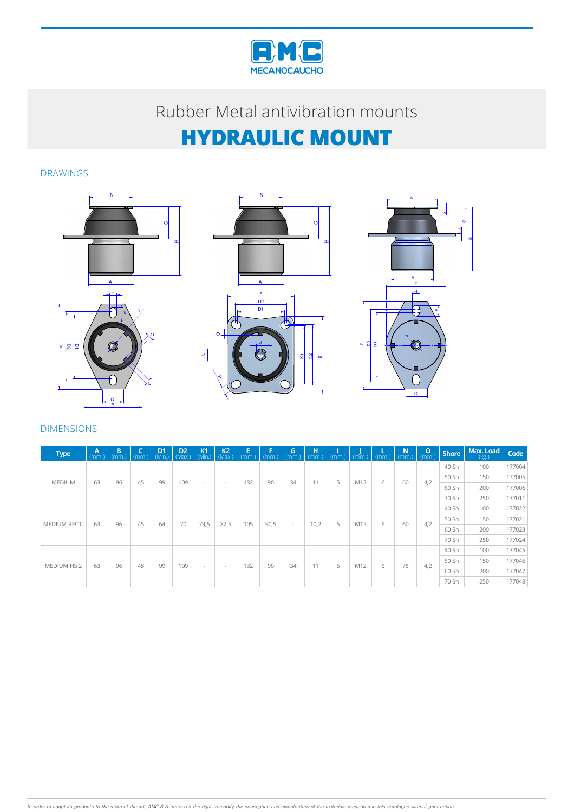

### DRAWINGS







#### DIMENSIONS

| <b>Type</b>   | $\mathbf{A}$<br>(mm.) | B<br>(mm.) | c<br>(mm.) | $D1$ <sub>(Min.)</sub> | D <sub>2</sub><br>(Max.) | K <sub>1</sub><br>(Min.) | $K2$<br>(Max.) | E<br>(mm.) | F<br>(mm) | G<br>(mm.) | н<br>(mm.) |   | $(mm.)$ $(mm.)$ | $\sqrt{mm}$ | N<br>(mm) | $\circ$<br>(mm.) | <b>Shore</b> | Max. Load<br>(kg.) | Code   |
|---------------|-----------------------|------------|------------|------------------------|--------------------------|--------------------------|----------------|------------|-----------|------------|------------|---|-----------------|-------------|-----------|------------------|--------------|--------------------|--------|
| <b>MEDIUM</b> |                       |            |            |                        |                          |                          |                |            |           | 34         | 11         | 5 | M12             | 6           | 60        | 4,2              | 40 Sh        | 100                | 177004 |
|               | 63                    | 96         | 45         | 99                     |                          |                          | $\sim$         | 132        | 90        |            |            |   |                 |             |           |                  | 50 Sh        | 150                | 177005 |
|               |                       |            |            |                        | 109                      | $\sim$                   |                |            |           |            |            |   |                 |             |           |                  | 60 Sh        | 200                | 177006 |
|               |                       |            |            |                        |                          |                          |                |            |           |            |            |   |                 |             |           |                  | 70 Sh        | 250                | 177011 |
|               | 63                    | 96         | 45         |                        |                          |                          |                | 105        | 90,5      | $\sim$     | 10,2       | 5 | M12             | 6           |           |                  | 40 Sh        | 100                | 177022 |
|               |                       |            |            | 64                     | 70                       |                          |                |            |           |            |            |   |                 |             | 60        | 4,2              | 50 Sh        | 150                | 177021 |
| MEDIUM RECT.  |                       |            |            |                        |                          | 79,5                     | 82,5           |            |           |            |            |   |                 |             |           |                  | 60 Sh        | 200                | 177023 |
|               |                       |            |            |                        |                          |                          |                |            |           |            |            |   |                 |             |           |                  | 70 Sh        | 250                | 177024 |
|               |                       |            |            |                        |                          |                          |                | 132        | 90        | 34         | 11         | 5 |                 |             |           |                  | 40 Sh        | 100                | 177045 |
| MEDIUM HS 2   |                       | 96         | 45         | 99                     | 109                      | $\sim$                   | $\sim$         |            |           |            |            |   | M12             |             | 75        | 4,2              | 50 Sh        | 150                | 177046 |
|               | 63                    |            |            |                        |                          |                          |                |            |           |            |            |   |                 | 6           |           |                  | 60 Sh        | 200                | 177047 |
|               |                       |            |            |                        |                          |                          |                |            |           |            |            |   |                 |             |           |                  | 70 Sh        | 250                | 177048 |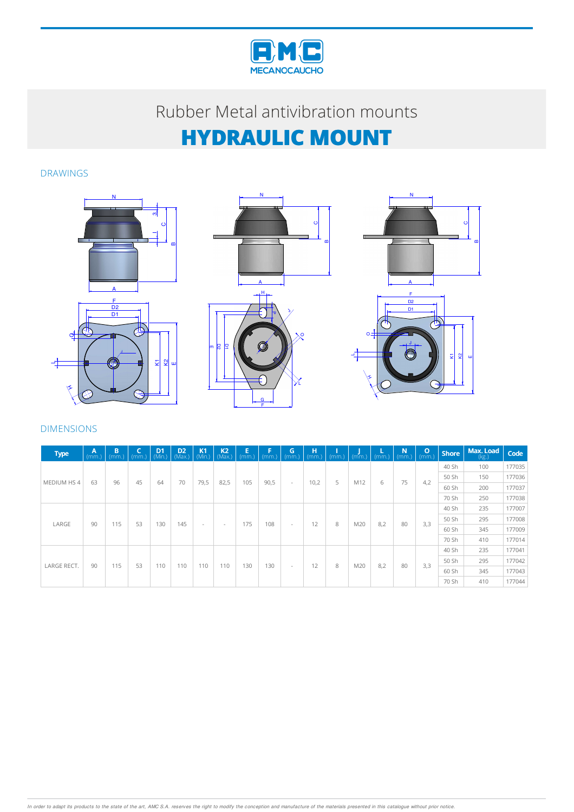

### DRAWINGS







### DIMENSIONS

| <b>Type</b> | A<br>(mm.) | B<br>(mm.) | c<br>(mm) | $D1$<br>(Min. | D <sub>2</sub><br>(Max.) | K <sub>1</sub><br>(Min.) | $K2$<br>(Max.) | E<br>(mm.) | F<br>(mm.) | $\overline{G}$ | н<br>(mm.) | (mm.) | $(mm.)$ (mm.) |     | $\mathbf N$<br>(mm.) | $\mathbf{o}$<br>(mm.) | <b>Shore</b> | Max. Load<br>(kg.) | Code   |  |       |
|-------------|------------|------------|-----------|---------------|--------------------------|--------------------------|----------------|------------|------------|----------------|------------|-------|---------------|-----|----------------------|-----------------------|--------------|--------------------|--------|--|-------|
| MEDIUM HS 4 | 63         | 96         |           |               |                          |                          |                |            | 90,5       | $\sim$         | 10,2       | 5     | M12           | 6   | 75                   | 4.2                   | 40 Sh        | 100                | 177035 |  |       |
|             |            |            | 45        | 64            | 70                       |                          | 82,5           | 105        |            |                |            |       |               |     |                      |                       | 50 Sh        | 150                | 177036 |  |       |
|             |            |            |           |               |                          | 79,5                     |                |            |            |                |            |       |               |     |                      |                       | 60 Sh        | 200                | 177037 |  |       |
|             |            |            |           |               |                          |                          |                |            |            |                |            |       |               |     |                      |                       | 70 Sh        | 250                | 177038 |  |       |
|             | 90         |            |           |               |                          | $\sim$                   |                |            |            |                | 12         | 8     | M20           | 8,2 | 80                   |                       | 40 Sh        | 235                | 177007 |  |       |
|             |            | 115        | 53        | 130           | 145                      |                          |                | 175        | 108        |                |            |       |               |     |                      |                       | 50 Sh        | 295                | 177008 |  |       |
| LARGE       |            |            |           |               |                          |                          | $\sim$         |            |            | $\sim$         |            |       |               |     |                      | 3,3                   | 60 Sh        | 345                | 177009 |  |       |
|             |            |            |           |               |                          |                          |                |            |            |                |            |       |               |     |                      |                       | 70 Sh        | 410                | 177014 |  |       |
|             |            | 115        |           |               |                          |                          |                | 130        | 130        | $\sim$         | 12         | 8     | M20           |     |                      |                       | 40 Sh        | 235                | 177041 |  |       |
| LARGE RECT. |            |            | 53        | 110           | 110                      | 110                      | 110            |            |            |                |            |       |               | 8.2 | 80                   | 3.3                   | 50 Sh        | 295                | 177042 |  |       |
|             | 90         |            |           |               |                          |                          |                |            |            |                |            |       |               |     |                      |                       | 60 Sh        | 345                | 177043 |  |       |
|             |            |            |           |               |                          |                          |                |            |            |                |            |       |               |     |                      |                       |              |                    |        |  | 70 Sh |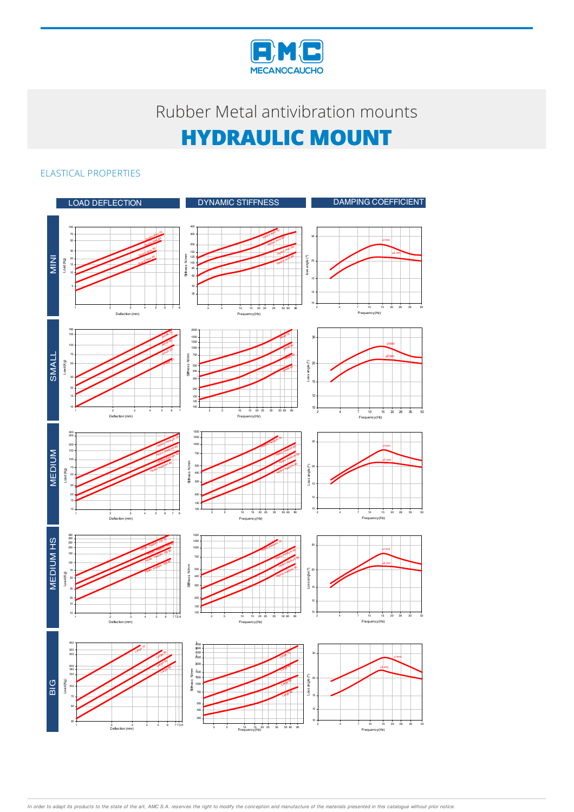

### ELASTICAL PROPERTIES



In order to adapt its products to the state of the art, AMC S.A. reserves the right to modify the conception and manufacture of the materials presented in this catalogue without prior notice.